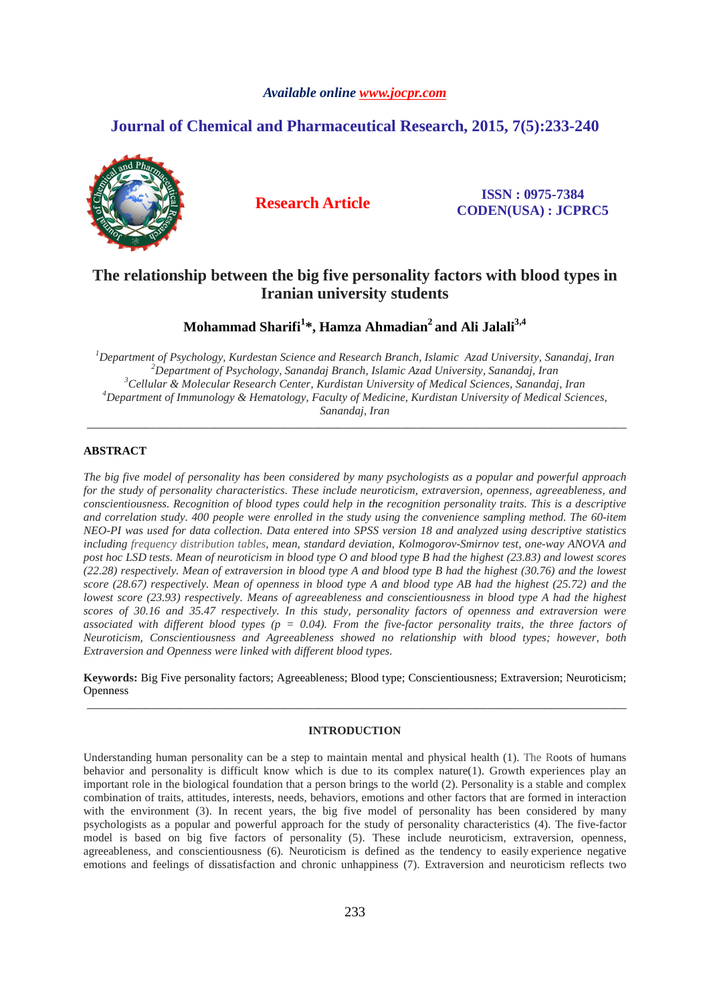## *Available online www.jocpr.com*

# **Journal of Chemical and Pharmaceutical Research, 2015, 7(5):233-240**



**Research Article ISSN : 0975-7384 CODEN(USA) : JCPRC5**

# **The relationship between the big five personality factors with blood types in Iranian university students**

# **Mohammad Sharifi<sup>1</sup> \*, Hamza Ahmadian<sup>2</sup>and Ali Jalali3,4**

*Department of Psychology, Kurdestan Science and Research Branch, Islamic Azad University, Sanandaj, Iran Department of Psychology, Sanandaj Branch, Islamic Azad University, Sanandaj, Iran Cellular & Molecular Research Center, Kurdistan University of Medical Sciences, Sanandaj, Iran Department of Immunology & Hematology, Faculty of Medicine, Kurdistan University of Medical Sciences, Sanandaj, Iran* 

\_\_\_\_\_\_\_\_\_\_\_\_\_\_\_\_\_\_\_\_\_\_\_\_\_\_\_\_\_\_\_\_\_\_\_\_\_\_\_\_\_\_\_\_\_\_\_\_\_\_\_\_\_\_\_\_\_\_\_\_\_\_\_\_\_\_\_\_\_\_\_\_\_\_\_\_\_\_\_\_\_\_\_\_\_\_\_\_\_\_\_\_\_

### **ABSTRACT**

*The big five model of personality has been considered by many psychologists as a popular and powerful approach for the study of personality characteristics. These include neuroticism, extraversion, openness, agreeableness, and conscientiousness. Recognition of blood types could help in the recognition personality traits. This is a descriptive and correlation study. 400 people were enrolled in the study using the convenience sampling method. The 60-item NEO-PI was used for data collection. Data entered into SPSS version 18 and analyzed using descriptive statistics including frequency distribution tables, mean, standard deviation, Kolmogorov-Smirnov test, one-way ANOVA and post hoc LSD tests. Mean of neuroticism in blood type O and blood type B had the highest (23.83) and lowest scores (22.28) respectively. Mean of extraversion in blood type A and blood type B had the highest (30.76) and the lowest score (28.67) respectively. Mean of openness in blood type A and blood type AB had the highest (25.72) and the lowest score (23.93) respectively. Means of agreeableness and conscientiousness in blood type A had the highest scores of 30.16 and 35.47 respectively. In this study, personality factors of openness and extraversion were associated with different blood types (p = 0.04). From the five-factor personality traits, the three factors of Neuroticism, Conscientiousness and Agreeableness showed no relationship with blood types; however, both Extraversion and Openness were linked with different blood types.* 

**Keywords:** Big Five personality factors; Agreeableness; Blood type; Conscientiousness; Extraversion; Neuroticism; Openness \_\_\_\_\_\_\_\_\_\_\_\_\_\_\_\_\_\_\_\_\_\_\_\_\_\_\_\_\_\_\_\_\_\_\_\_\_\_\_\_\_\_\_\_\_\_\_\_\_\_\_\_\_\_\_\_\_\_\_\_\_\_\_\_\_\_\_\_\_\_\_\_\_\_\_\_\_\_\_\_\_\_\_\_\_\_\_\_\_\_\_\_\_

## **INTRODUCTION**

Understanding human personality can be a step to maintain mental and physical health (1). The Roots of humans behavior and personality is difficult know which is due to its complex nature(1). Growth experiences play an important role in the biological foundation that a person brings to the world (2). Personality is a stable and complex combination of traits, attitudes, interests, needs, behaviors, emotions and other factors that are formed in interaction with the environment (3). In recent years, the big five model of personality has been considered by many psychologists as a popular and powerful approach for the study of personality characteristics (4). The five-factor model is based on big five factors of personality (5). These include neuroticism, extraversion, openness, agreeableness, and conscientiousness (6). Neuroticism is defined as the tendency to easily experience negative emotions and feelings of dissatisfaction and chronic unhappiness (7). Extraversion and neuroticism reflects two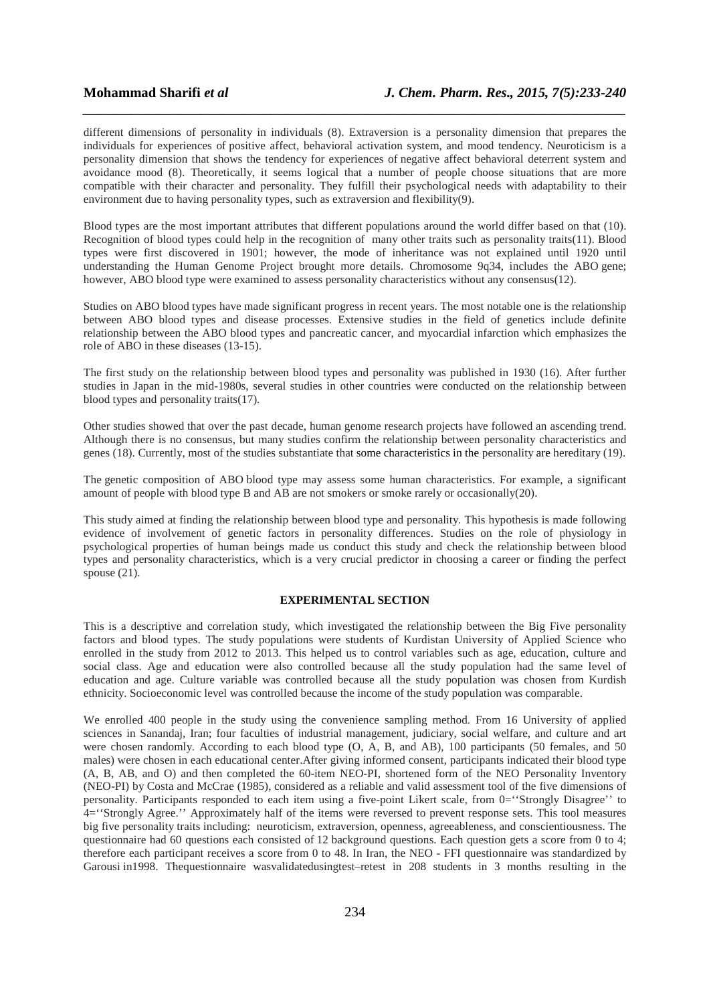different dimensions of personality in individuals (8). Extraversion is a personality dimension that prepares the individuals for experiences of positive affect, behavioral activation system, and mood tendency. Neuroticism is a personality dimension that shows the tendency for experiences of negative affect behavioral deterrent system and avoidance mood (8). Theoretically, it seems logical that a number of people choose situations that are more compatible with their character and personality. They fulfill their psychological needs with adaptability to their environment due to having personality types, such as extraversion and flexibility(9).

*\_\_\_\_\_\_\_\_\_\_\_\_\_\_\_\_\_\_\_\_\_\_\_\_\_\_\_\_\_\_\_\_\_\_\_\_\_\_\_\_\_\_\_\_\_\_\_\_\_\_\_\_\_\_\_\_\_\_\_\_\_\_\_\_\_\_\_\_\_\_\_\_\_\_\_\_\_\_*

Blood types are the most important attributes that different populations around the world differ based on that (10). Recognition of blood types could help in the recognition of many other traits such as personality traits(11). Blood types were first discovered in 1901; however, the mode of inheritance was not explained until 1920 until understanding the Human Genome Project brought more details. Chromosome 9q34, includes the ABO gene; however, ABO blood type were examined to assess personality characteristics without any consensus(12).

Studies on ABO blood types have made significant progress in recent years. The most notable one is the relationship between ABO blood types and disease processes. Extensive studies in the field of genetics include definite relationship between the ABO blood types and pancreatic cancer, and myocardial infarction which emphasizes the role of ABO in these diseases (13-15).

The first study on the relationship between blood types and personality was published in 1930 (16). After further studies in Japan in the mid-1980s, several studies in other countries were conducted on the relationship between blood types and personality traits(17).

Other studies showed that over the past decade, human genome research projects have followed an ascending trend. Although there is no consensus, but many studies confirm the relationship between personality characteristics and genes (18). Currently, most of the studies substantiate that some characteristics in the personality are hereditary (19).

The genetic composition of ABO blood type may assess some human characteristics. For example, a significant amount of people with blood type B and AB are not smokers or smoke rarely or occasionally(20).

This study aimed at finding the relationship between blood type and personality. This hypothesis is made following evidence of involvement of genetic factors in personality differences. Studies on the role of physiology in psychological properties of human beings made us conduct this study and check the relationship between blood types and personality characteristics, which is a very crucial predictor in choosing a career or finding the perfect spouse  $(21)$ .

### **EXPERIMENTAL SECTION**

This is a descriptive and correlation study, which investigated the relationship between the Big Five personality factors and blood types. The study populations were students of Kurdistan University of Applied Science who enrolled in the study from 2012 to 2013. This helped us to control variables such as age, education, culture and social class. Age and education were also controlled because all the study population had the same level of education and age. Culture variable was controlled because all the study population was chosen from Kurdish ethnicity. Socioeconomic level was controlled because the income of the study population was comparable.

We enrolled 400 people in the study using the convenience sampling method. From 16 University of applied sciences in Sanandaj, Iran; four faculties of industrial management, judiciary, social welfare, and culture and art were chosen randomly. According to each blood type (O, A, B, and AB), 100 participants (50 females, and 50 males) were chosen in each educational center.After giving informed consent, participants indicated their blood type (A, B, AB, and O) and then completed the 60-item NEO-PI, shortened form of the NEO Personality Inventory (NEO-PI) by Costa and McCrae (1985), considered as a reliable and valid assessment tool of the five dimensions of personality. Participants responded to each item using a five-point Likert scale, from 0="Strongly Disagree" to 4=''Strongly Agree.'' Approximately half of the items were reversed to prevent response sets. This tool measures big five personality traits including: neuroticism, extraversion, openness, agreeableness, and conscientiousness. The questionnaire had 60 questions each consisted of 12 background questions. Each question gets a score from 0 to 4; therefore each participant receives a score from 0 to 48. In Iran, the NEO - FFI questionnaire was standardized by Garousi in1998. Thequestionnaire wasvalidatedusingtest–retest in 208 students in 3 months resulting in the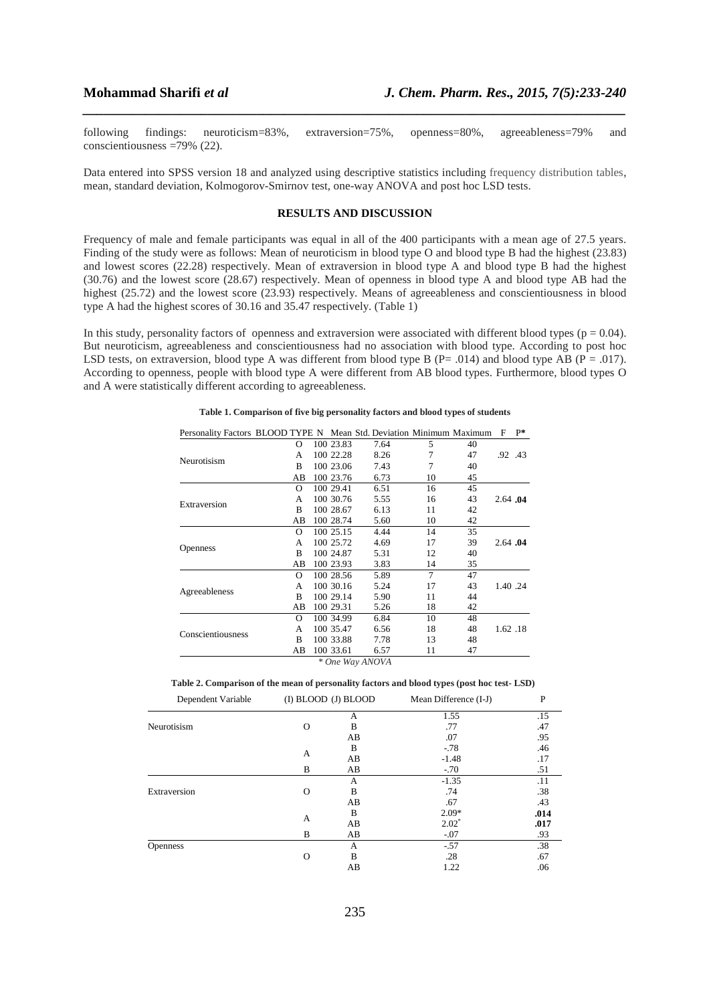following findings: neuroticism=83%, extraversion=75%, openness=80%, agreeableness=79% and conscientiousness =79% (22).

*\_\_\_\_\_\_\_\_\_\_\_\_\_\_\_\_\_\_\_\_\_\_\_\_\_\_\_\_\_\_\_\_\_\_\_\_\_\_\_\_\_\_\_\_\_\_\_\_\_\_\_\_\_\_\_\_\_\_\_\_\_\_\_\_\_\_\_\_\_\_\_\_\_\_\_\_\_\_*

Data entered into SPSS version 18 and analyzed using descriptive statistics including frequency distribution tables, mean, standard deviation, Kolmogorov-Smirnov test, one-way ANOVA and post hoc LSD tests.

# **RESULTS AND DISCUSSION**

Frequency of male and female participants was equal in all of the 400 participants with a mean age of 27.5 years. Finding of the study were as follows: Mean of neuroticism in blood type O and blood type B had the highest (23.83) and lowest scores (22.28) respectively. Mean of extraversion in blood type A and blood type B had the highest (30.76) and the lowest score (28.67) respectively. Mean of openness in blood type A and blood type AB had the highest (25.72) and the lowest score (23.93) respectively. Means of agreeableness and conscientiousness in blood type A had the highest scores of 30.16 and 35.47 respectively. (Table 1)

In this study, personality factors of openness and extraversion were associated with different blood types ( $p = 0.04$ ). But neuroticism, agreeableness and conscientiousness had no association with blood type. According to post hoc LSD tests, on extraversion, blood type A was different from blood type B (P= .014) and blood type AB (P = .017). According to openness, people with blood type A were different from AB blood types. Furthermore, blood types O and A were statistically different according to agreeableness.

| Personality Factors BLOOD TYPE N Mean Std. Deviation Minimum Maximum |          |           |                 |    |    | F        | $P*$ |
|----------------------------------------------------------------------|----------|-----------|-----------------|----|----|----------|------|
| Neurotisism                                                          | $\Omega$ | 100 23.83 | 7.64            | 5  | 40 |          |      |
|                                                                      | A        | 100 22.28 | 8.26            | 7  | 47 | .92 .43  |      |
|                                                                      | B        | 100 23.06 | 7.43            | 7  | 40 |          |      |
|                                                                      | AВ       | 100 23.76 | 6.73            | 10 | 45 |          |      |
| Extraversion                                                         | $\Omega$ | 100 29.41 | 6.51            | 16 | 45 |          |      |
|                                                                      | A        | 100 30.76 | 5.55            | 16 | 43 | 2.64.04  |      |
|                                                                      | B        | 100 28.67 | 6.13            | 11 | 42 |          |      |
|                                                                      | AВ       | 100 28.74 | 5.60            | 10 | 42 |          |      |
| <b>Openness</b>                                                      | $\Omega$ | 100 25.15 | 4.44            | 14 | 35 |          |      |
|                                                                      | A        | 100 25.72 | 4.69            | 17 | 39 | 2.64 .04 |      |
|                                                                      | B        | 100 24.87 | 5.31            | 12 | 40 |          |      |
|                                                                      | AВ       | 100 23.93 | 3.83            | 14 | 35 |          |      |
| Agreeableness                                                        | O        | 100 28.56 | 5.89            | 7  | 47 |          |      |
|                                                                      | A        | 100 30.16 | 5.24            | 17 | 43 | 1.40 .24 |      |
|                                                                      | R        | 100 29.14 | 5.90            | 11 | 44 |          |      |
|                                                                      | AВ       | 100 29.31 | 5.26            | 18 | 42 |          |      |
| Conscientiousness                                                    | $\Omega$ | 100 34.99 | 6.84            | 10 | 48 |          |      |
|                                                                      | A        | 100 35.47 | 6.56            | 18 | 48 | 1.62.18  |      |
|                                                                      | B        | 100 33.88 | 7.78            | 13 | 48 |          |      |
|                                                                      | AВ       | 100 33.61 | 6.57            | 11 | 47 |          |      |
|                                                                      |          |           | * One Way ANOVA |    |    |          |      |

**Table 1. Comparison of five big personality factors and blood types of students** 

**Table 2. Comparison of the mean of personality factors and blood types (post hoc test- LSD)**

| Dependent Variable |          | (I) BLOOD (J) BLOOD | Mean Difference (I-J) | P    |  |
|--------------------|----------|---------------------|-----------------------|------|--|
|                    |          | А                   | 1.55                  | .15  |  |
| Neurotisism        | O        | B                   | .77                   | .47  |  |
|                    |          | AB                  | .07                   | .95  |  |
|                    |          | B                   | $-78$                 | .46  |  |
|                    | А        | AB                  | $-1.48$               | .17  |  |
|                    | B        | AB                  | $-70$                 | .51  |  |
|                    |          | А                   | $-1.35$               | .11  |  |
| Extraversion       | O        | В                   | .74                   | .38  |  |
|                    |          | AB                  | .67                   | .43  |  |
|                    | А        | B                   | $2.09*$               | .014 |  |
|                    |          | AB                  | $2.02^*$              | .017 |  |
|                    | B        | AB                  | $-.07$                | .93  |  |
| <b>Openness</b>    |          | А                   | $-.57$                | .38  |  |
|                    | $\Omega$ | B                   | .28                   | .67  |  |
|                    |          | AB                  | 1.22                  | .06  |  |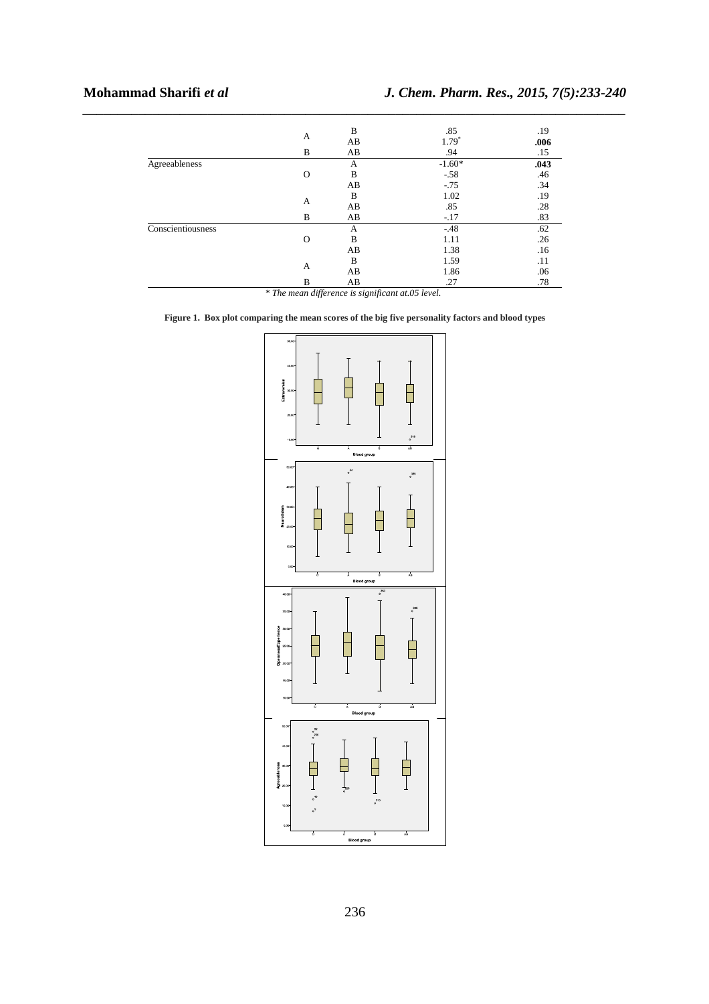|                   |          | B  | .85      | .19  |  |
|-------------------|----------|----|----------|------|--|
|                   | A        | AB | $1.79*$  | .006 |  |
|                   | B        | AB | .94      | .15  |  |
| Agreeableness     |          | А  | $-1.60*$ | .043 |  |
|                   | $\circ$  | B  | $-.58$   | .46  |  |
|                   |          | AB | $-.75$   | .34  |  |
|                   | A        | B  | 1.02     | .19  |  |
|                   |          | AB | .85      | .28  |  |
|                   | B        | AB | $-.17$   | .83  |  |
| Conscientiousness |          | A  | $-.48$   | .62  |  |
|                   | $\Omega$ | B  | 1.11     | .26  |  |
|                   |          | AB | 1.38     | .16  |  |
|                   | A        | B  | 1.59     | .11  |  |
|                   |          | AB | 1.86     | .06  |  |
|                   | B        | AB | .27      | .78  |  |

*\_\_\_\_\_\_\_\_\_\_\_\_\_\_\_\_\_\_\_\_\_\_\_\_\_\_\_\_\_\_\_\_\_\_\_\_\_\_\_\_\_\_\_\_\_\_\_\_\_\_\_\_\_\_\_\_\_\_\_\_\_\_\_\_\_\_\_\_\_\_\_\_\_\_\_\_\_\_*

*\* The mean difference is significant at.05 level.* 

**Figure 1. Box plot comparing the mean scores of the big five personality factors and blood types** 

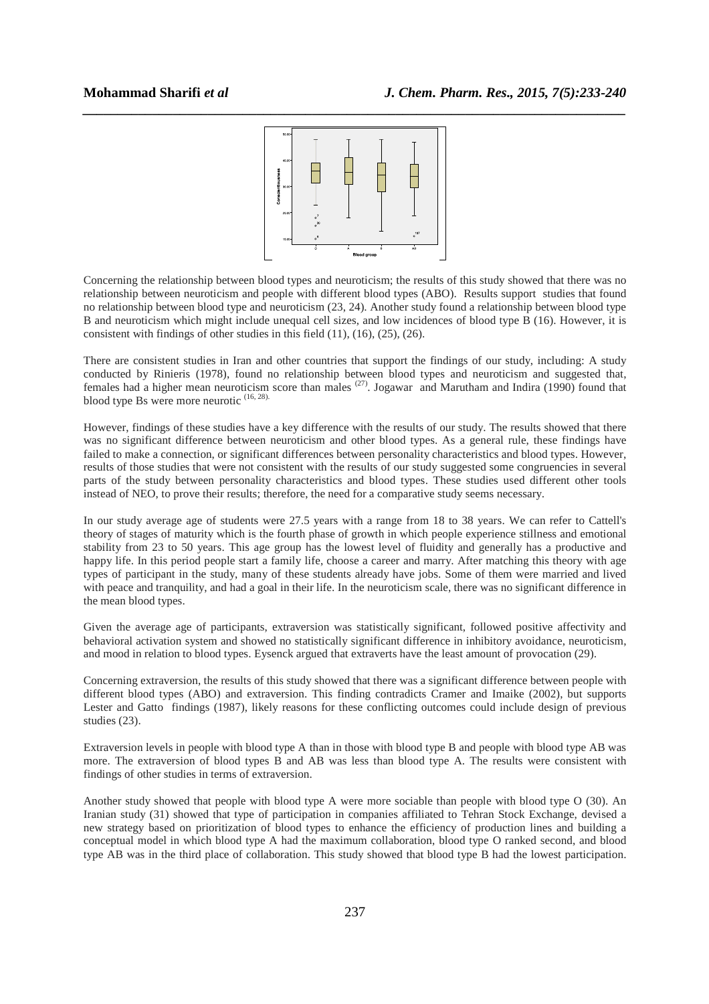

Concerning the relationship between blood types and neuroticism; the results of this study showed that there was no relationship between neuroticism and people with different blood types (ABO). Results support studies that found no relationship between blood type and neuroticism (23, 24). Another study found a relationship between blood type B and neuroticism which might include unequal cell sizes, and low incidences of blood type B (16). However, it is consistent with findings of other studies in this field (11), (16), (25), (26).

There are consistent studies in Iran and other countries that support the findings of our study, including: A study conducted by Rinieris (1978), found no relationship between blood types and neuroticism and suggested that, females had a higher mean neuroticism score than males (27). Jogawar and Marutham and Indira (1990) found that blood type Bs were more neurotic (16, 28).

However, findings of these studies have a key difference with the results of our study. The results showed that there was no significant difference between neuroticism and other blood types. As a general rule, these findings have failed to make a connection, or significant differences between personality characteristics and blood types. However, results of those studies that were not consistent with the results of our study suggested some congruencies in several parts of the study between personality characteristics and blood types. These studies used different other tools instead of NEO, to prove their results; therefore, the need for a comparative study seems necessary.

In our study average age of students were 27.5 years with a range from 18 to 38 years. We can refer to Cattell's theory of stages of maturity which is the fourth phase of growth in which people experience stillness and emotional stability from 23 to 50 years. This age group has the lowest level of fluidity and generally has a productive and happy life. In this period people start a family life, choose a career and marry. After matching this theory with age types of participant in the study, many of these students already have jobs. Some of them were married and lived with peace and tranquility, and had a goal in their life. In the neuroticism scale, there was no significant difference in the mean blood types.

Given the average age of participants, extraversion was statistically significant, followed positive affectivity and behavioral activation system and showed no statistically significant difference in inhibitory avoidance, neuroticism, and mood in relation to blood types. Eysenck argued that extraverts have the least amount of provocation (29).

Concerning extraversion, the results of this study showed that there was a significant difference between people with different blood types (ABO) and extraversion. This finding contradicts Cramer and Imaike (2002), but supports Lester and Gatto findings (1987), likely reasons for these conflicting outcomes could include design of previous studies (23).

Extraversion levels in people with blood type A than in those with blood type B and people with blood type AB was more. The extraversion of blood types B and AB was less than blood type A. The results were consistent with findings of other studies in terms of extraversion.

Another study showed that people with blood type A were more sociable than people with blood type O (30). An Iranian study (31) showed that type of participation in companies affiliated to Tehran Stock Exchange, devised a new strategy based on prioritization of blood types to enhance the efficiency of production lines and building a conceptual model in which blood type A had the maximum collaboration, blood type O ranked second, and blood type AB was in the third place of collaboration. This study showed that blood type B had the lowest participation.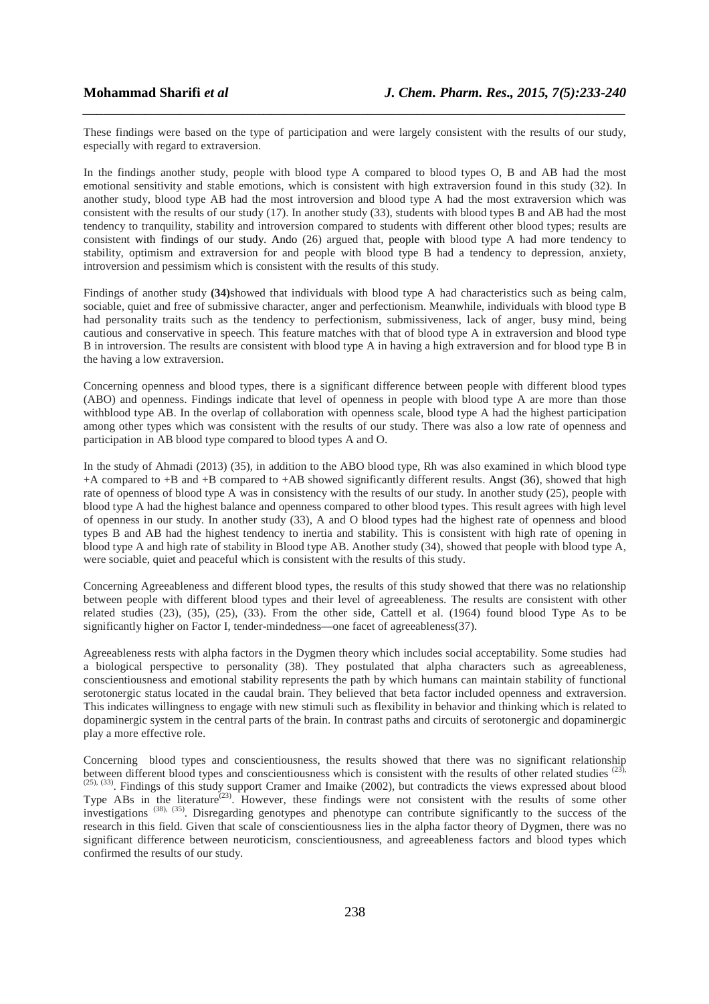These findings were based on the type of participation and were largely consistent with the results of our study, especially with regard to extraversion.

*\_\_\_\_\_\_\_\_\_\_\_\_\_\_\_\_\_\_\_\_\_\_\_\_\_\_\_\_\_\_\_\_\_\_\_\_\_\_\_\_\_\_\_\_\_\_\_\_\_\_\_\_\_\_\_\_\_\_\_\_\_\_\_\_\_\_\_\_\_\_\_\_\_\_\_\_\_\_*

In the findings another study, people with blood type A compared to blood types O, B and AB had the most emotional sensitivity and stable emotions, which is consistent with high extraversion found in this study (32). In another study, blood type AB had the most introversion and blood type A had the most extraversion which was consistent with the results of our study (17). In another study (33), students with blood types B and AB had the most tendency to tranquility, stability and introversion compared to students with different other blood types; results are consistent with findings of our study. Ando (26) argued that, people with blood type A had more tendency to stability, optimism and extraversion for and people with blood type B had a tendency to depression, anxiety, introversion and pessimism which is consistent with the results of this study.

Findings of another study **(34)**showed that individuals with blood type A had characteristics such as being calm, sociable, quiet and free of submissive character, anger and perfectionism. Meanwhile, individuals with blood type B had personality traits such as the tendency to perfectionism, submissiveness, lack of anger, busy mind, being cautious and conservative in speech. This feature matches with that of blood type A in extraversion and blood type B in introversion. The results are consistent with blood type A in having a high extraversion and for blood type B in the having a low extraversion.

Concerning openness and blood types, there is a significant difference between people with different blood types (ABO) and openness. Findings indicate that level of openness in people with blood type A are more than those withblood type AB. In the overlap of collaboration with openness scale, blood type A had the highest participation among other types which was consistent with the results of our study. There was also a low rate of openness and participation in AB blood type compared to blood types A and O.

In the study of Ahmadi (2013) (35), in addition to the ABO blood type, Rh was also examined in which blood type +A compared to +B and +B compared to +AB showed significantly different results. Angst (36), showed that high rate of openness of blood type A was in consistency with the results of our study. In another study (25), people with blood type A had the highest balance and openness compared to other blood types. This result agrees with high level of openness in our study. In another study (33), A and O blood types had the highest rate of openness and blood types B and AB had the highest tendency to inertia and stability. This is consistent with high rate of opening in blood type A and high rate of stability in Blood type AB. Another study (34), showed that people with blood type A, were sociable, quiet and peaceful which is consistent with the results of this study.

Concerning Agreeableness and different blood types, the results of this study showed that there was no relationship between people with different blood types and their level of agreeableness. The results are consistent with other related studies (23), (35), (25), (33). From the other side, Cattell et al. (1964) found blood Type As to be significantly higher on Factor I, tender-mindedness—one facet of agreeableness(37).

Agreeableness rests with alpha factors in the Dygmen theory which includes social acceptability. Some studies had a biological perspective to personality (38). They postulated that alpha characters such as agreeableness, conscientiousness and emotional stability represents the path by which humans can maintain stability of functional serotonergic status located in the caudal brain. They believed that beta factor included openness and extraversion. This indicates willingness to engage with new stimuli such as flexibility in behavior and thinking which is related to dopaminergic system in the central parts of the brain. In contrast paths and circuits of serotonergic and dopaminergic play a more effective role.

Concerning blood types and conscientiousness, the results showed that there was no significant relationship between different blood types and conscientiousness which is consistent with the results of other related studies  $(23)$ ,  $(25)$ ,  $(33)$ . Findings of this study support Cramer and Imaike (2002), but contradicts the views expressed about blood Type ABs in the literature<sup> $(23)$ </sup>. However, these findings were not consistent with the results of some other investigations (38), (35). Disregarding genotypes and phenotype can contribute significantly to the success of the research in this field. Given that scale of conscientiousness lies in the alpha factor theory of Dygmen, there was no significant difference between neuroticism, conscientiousness, and agreeableness factors and blood types which confirmed the results of our study.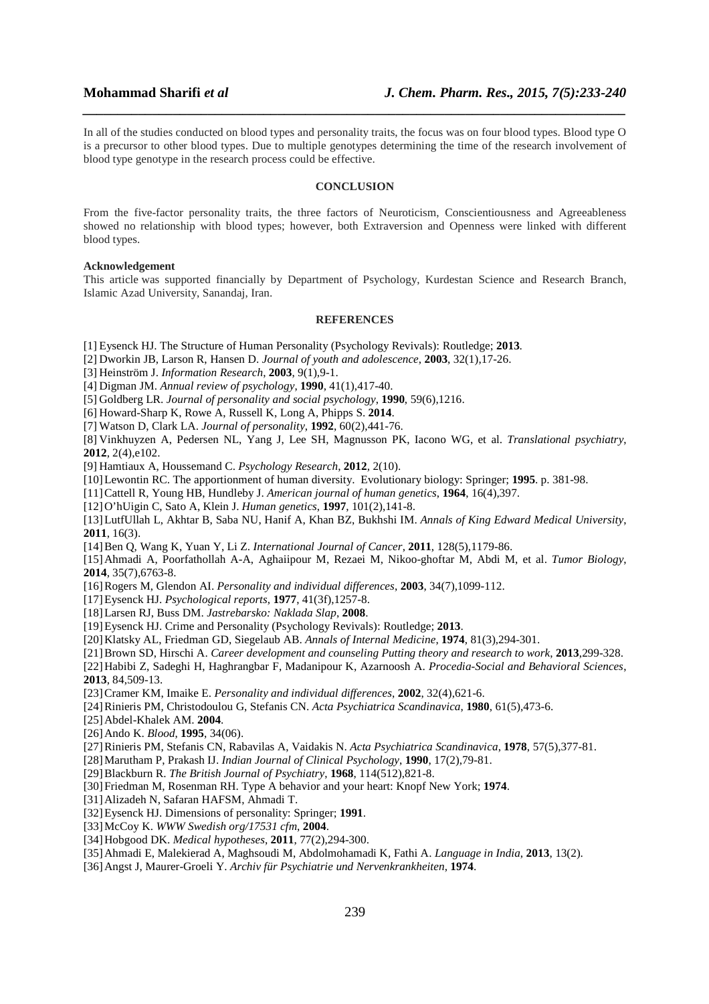In all of the studies conducted on blood types and personality traits, the focus was on four blood types. Blood type O is a precursor to other blood types. Due to multiple genotypes determining the time of the research involvement of blood type genotype in the research process could be effective.

*\_\_\_\_\_\_\_\_\_\_\_\_\_\_\_\_\_\_\_\_\_\_\_\_\_\_\_\_\_\_\_\_\_\_\_\_\_\_\_\_\_\_\_\_\_\_\_\_\_\_\_\_\_\_\_\_\_\_\_\_\_\_\_\_\_\_\_\_\_\_\_\_\_\_\_\_\_\_*

### **CONCLUSION**

From the five-factor personality traits, the three factors of Neuroticism, Conscientiousness and Agreeableness showed no relationship with blood types; however, both Extraversion and Openness were linked with different blood types.

### **Acknowledgement**

This article was supported financially by Department of Psychology, Kurdestan Science and Research Branch, Islamic Azad University, Sanandaj, Iran.

## **REFERENCES**

- [1] Eysenck HJ. The Structure of Human Personality (Psychology Revivals): Routledge; **2013**.
- [2] Dworkin JB, Larson R, Hansen D. *Journal of youth and adolescence*, **2003**, 32(1),17-26.

[3] Heinström J. *Information Research*, **2003**, 9(1),9-1.

[4] Digman JM. *Annual review of psychology*, **1990**, 41(1),417-40.

[5] Goldberg LR. *Journal of personality and social psychology*, **1990**, 59(6),1216.

- [6] Howard-Sharp K, Rowe A, Russell K, Long A, Phipps S. **2014**.
- [7] Watson D, Clark LA. *Journal of personality*, **1992**, 60(2),441-76.

[8] Vinkhuyzen A, Pedersen NL, Yang J, Lee SH, Magnusson PK, Iacono WG, et al. *Translational psychiatry*, **2012**, 2(4),e102.

[9] Hamtiaux A, Houssemand C. *Psychology Research*, **2012**, 2(10).

- [10]Lewontin RC. The apportionment of human diversity. Evolutionary biology: Springer; **1995**. p. 381-98.
- [11]Cattell R, Young HB, Hundleby J. *American journal of human genetics*, **1964**, 16(4),397.

[12]O'hUigin C, Sato A, Klein J. *Human genetics*, **1997**, 101(2),141-8.

[13]LutfUllah L, Akhtar B, Saba NU, Hanif A, Khan BZ, Bukhshi IM. *Annals of King Edward Medical University*, **2011**, 16(3).

[14]Ben Q, Wang K, Yuan Y, Li Z. *International Journal of Cancer*, **2011**, 128(5),1179-86.

[15]Ahmadi A, Poorfathollah A-A, Aghaiipour M, Rezaei M, Nikoo-ghoftar M, Abdi M, et al. *Tumor Biology*, **2014**, 35(7),6763-8.

[16]Rogers M, Glendon AI. *Personality and individual differences*, **2003**, 34(7),1099-112.

[17]Eysenck HJ. *Psychological reports*, **1977**, 41(3f),1257-8.

- [18]Larsen RJ, Buss DM. *Jastrebarsko: Naklada Slap*, **2008**.
- [19]Eysenck HJ. Crime and Personality (Psychology Revivals): Routledge; **2013**.
- [20]Klatsky AL, Friedman GD, Siegelaub AB. *Annals of Internal Medicine*, **1974**, 81(3),294-301.
- [21]Brown SD, Hirschi A. *Career development and counseling Putting theory and research to work*, **2013**,299-328.

[22]Habibi Z, Sadeghi H, Haghrangbar F, Madanipour K, Azarnoosh A. *Procedia-Social and Behavioral Sciences*, **2013**, 84,509-13.

[23]Cramer KM, Imaike E. *Personality and individual differences*, **2002**, 32(4),621-6.

[24]Rinieris PM, Christodoulou G, Stefanis CN. *Acta Psychiatrica Scandinavica*, **1980**, 61(5),473-6.

[25]Abdel-Khalek AM. **2004**.

[26]Ando K. *Blood*, **1995**, 34(06).

[27]Rinieris PM, Stefanis CN, Rabavilas A, Vaidakis N. *Acta Psychiatrica Scandinavica*, **1978**, 57(5),377-81.

[28]Marutham P, Prakash IJ. *Indian Journal of Clinical Psychology*, **1990**, 17(2),79-81.

[29]Blackburn R. *The British Journal of Psychiatry*, **1968**, 114(512),821-8.

[30]Friedman M, Rosenman RH. Type A behavior and your heart: Knopf New York; **1974**.

[31]Alizadeh N, Safaran HAFSM, Ahmadi T.

[32]Eysenck HJ. Dimensions of personality: Springer; **1991**.

[33]McCoy K. *WWW Swedish org/17531 cfm*, **2004**.

[34]Hobgood DK. *Medical hypotheses*, **2011**, 77(2),294-300.

- [35]Ahmadi E, Malekierad A, Maghsoudi M, Abdolmohamadi K, Fathi A. *Language in India*, **2013**, 13(2).
- [36]Angst J, Maurer-Groeli Y. *Archiv für Psychiatrie und Nervenkrankheiten*, **1974**.